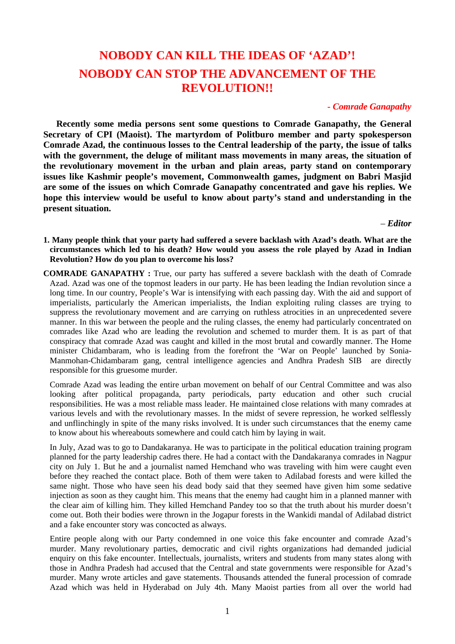# **NOBODY CAN KILL THE IDEAS OF 'AZAD'! NOBODY CAN STOP THE ADVANCEMENT OF THE REVOLUTION!!**

# *- Comrade Ganapathy*

**Recently some media persons sent some questions to Comrade Ganapathy, the General Secretary of CPI (Maoist). The martyrdom of Politburo member and party spokesperson Comrade Azad, the continuous losses to the Central leadership of the party, the issue of talks with the government, the deluge of militant mass movements in many areas, the situation of the revolutionary movement in the urban and plain areas, party stand on contemporary issues like Kashmir people's movement, Commonwealth games, judgment on Babri Masjid are some of the issues on which Comrade Ganapathy concentrated and gave his replies. We hope this interview would be useful to know about party's stand and understanding in the present situation.** 

– *Editor*

- **1. Many people think that your party had suffered a severe backlash with Azad's death. What are the circumstances which led to his death? How would you assess the role played by Azad in Indian Revolution? How do you plan to overcome his loss?**
- **COMRADE GANAPATHY :** True, our party has suffered a severe backlash with the death of Comrade Azad. Azad was one of the topmost leaders in our party. He has been leading the Indian revolution since a long time. In our country, People's War is intensifying with each passing day. With the aid and support of imperialists, particularly the American imperialists, the Indian exploiting ruling classes are trying to suppress the revolutionary movement and are carrying on ruthless atrocities in an unprecedented severe manner. In this war between the people and the ruling classes, the enemy had particularly concentrated on comrades like Azad who are leading the revolution and schemed to murder them. It is as part of that conspiracy that comrade Azad was caught and killed in the most brutal and cowardly manner. The Home minister Chidambaram, who is leading from the forefront the 'War on People' launched by Sonia-Manmohan-Chidambaram gang, central intelligence agencies and Andhra Pradesh SIB are directly responsible for this gruesome murder.

Comrade Azad was leading the entire urban movement on behalf of our Central Committee and was also looking after political propaganda, party periodicals, party education and other such crucial responsibilities. He was a most reliable mass leader. He maintained close relations with many comrades at various levels and with the revolutionary masses. In the midst of severe repression, he worked selflessly and unflinchingly in spite of the many risks involved. It is under such circumstances that the enemy came to know about his whereabouts somewhere and could catch him by laying in wait.

In July, Azad was to go to Dandakaranya. He was to participate in the political education training program planned for the party leadership cadres there. He had a contact with the Dandakaranya comrades in Nagpur city on July 1. But he and a journalist named Hemchand who was traveling with him were caught even before they reached the contact place. Both of them were taken to Adilabad forests and were killed the same night. Those who have seen his dead body said that they seemed have given him some sedative injection as soon as they caught him. This means that the enemy had caught him in a planned manner with the clear aim of killing him. They killed Hemchand Pandey too so that the truth about his murder doesn't come out. Both their bodies were thrown in the Jogapur forests in the Wankidi mandal of Adilabad district and a fake encounter story was concocted as always.

Entire people along with our Party condemned in one voice this fake encounter and comrade Azad's murder. Many revolutionary parties, democratic and civil rights organizations had demanded judicial enquiry on this fake encounter. Intellectuals, journalists, writers and students from many states along with those in Andhra Pradesh had accused that the Central and state governments were responsible for Azad's murder. Many wrote articles and gave statements. Thousands attended the funeral procession of comrade Azad which was held in Hyderabad on July 4th. Many Maoist parties from all over the world had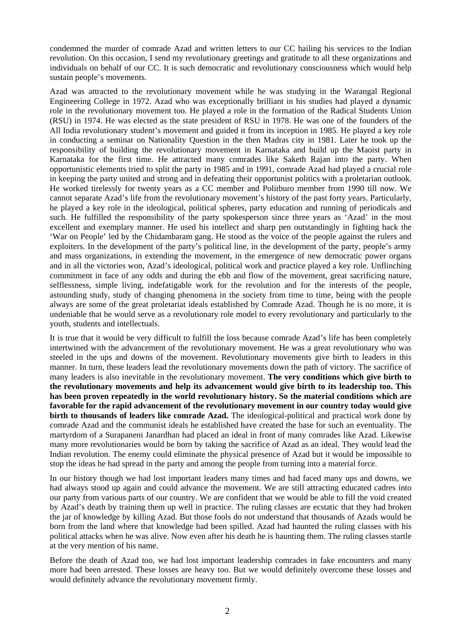condemned the murder of comrade Azad and written letters to our CC hailing his services to the Indian revolution. On this occasion, I send my revolutionary greetings and gratitude to all these organizations and individuals on behalf of our CC. It is such democratic and revolutionary consciousness which would help sustain people's movements.

Azad was attracted to the revolutionary movement while he was studying in the Warangal Regional Engineering College in 1972. Azad who was exceptionally brilliant in his studies had played a dynamic role in the revolutionary movement too. He played a role in the formation of the Radical Students Union (RSU) in 1974. He was elected as the state president of RSU in 1978. He was one of the founders of the All India revolutionary student's movement and guided it from its inception in 1985. He played a key role in conducting a seminar on Nationality Question in the then Madras city in 1981. Later he took up the responsibility of building the revolutionary movement in Karnataka and build up the Maoist party in Karnataka for the first time. He attracted many comrades like Saketh Rajan into the party. When opportunistic elements tried to split the party in 1985 and in 1991, comrade Azad had played a crucial role in keeping the party united and strong and in defeating their opportunist politics with a proletarian outlook. He worked tirelessly for twenty years as a CC member and Politburo member from 1990 till now. We cannot separate Azad's life from the revolutionary movement's history of the past forty years. Particularly, he played a key role in the ideological, political spheres, party education and running of periodicals and such. He fulfilled the responsibility of the party spokesperson since three years as 'Azad' in the most excellent and exemplary manner. He used his intellect and sharp pen outstandingly in fighting back the 'War on People' led by the Chidambaram gang. He stood as the voice of the people against the rulers and exploiters. In the development of the party's political line, in the development of the party, people's army and mass organizations, in extending the movement, in the emergence of new democratic power organs and in all the victories won, Azad's ideological, political work and practice played a key role. Unflinching commitment in face of any odds and during the ebb and flow of the movement, great sacrificing nature, selflessness, simple living, indefatigable work for the revolution and for the interests of the people, astounding study, study of changing phenomena in the society from time to time, being with the people always are some of the great proletariat ideals established by Comrade Azad. Though he is no more, it is undeniable that he would serve as a revolutionary role model to every revolutionary and particularly to the youth, students and intellectuals.

It is true that it would be very difficult to fulfill the loss because comrade Azad's life has been completely intertwined with the advancement of the revolutionary movement. He was a great revolutionary who was steeled in the ups and downs of the movement. Revolutionary movements give birth to leaders in this manner. In turn, these leaders lead the revolutionary movements down the path of victory. The sacrifice of many leaders is also inevitable in the revolutionary movement. **The very conditions which give birth to the revolutionary movements and help its advancement would give birth to its leadership too. This has been proven repeatedly in the world revolutionary history. So the material conditions which are favorable for the rapid advancement of the revolutionary movement in our country today would give birth to thousands of leaders like comrade Azad.** The ideological-political and practical work done by comrade Azad and the communist ideals he established have created the base for such an eventuality. The martyrdom of a Surapaneni Janardhan had placed an ideal in front of many comrades like Azad. Likewise many more revolutionaries would be born by taking the sacrifice of Azad as an ideal. They would lead the Indian revolution. The enemy could eliminate the physical presence of Azad but it would be impossible to stop the ideas he had spread in the party and among the people from turning into a material force.

In our history though we had lost important leaders many times and had faced many ups and downs, we had always stood up again and could advance the movement. We are still attracting educated cadres into our party from various parts of our country. We are confident that we would be able to fill the void created by Azad's death by training them up well in practice. The ruling classes are ecstatic that they had broken the jar of knowledge by killing Azad. But those fools do not understand that thousands of Azads would be born from the land where that knowledge had been spilled. Azad had haunted the ruling classes with his political attacks when he was alive. Now even after his death he is haunting them. The ruling classes startle at the very mention of his name.

Before the death of Azad too, we had lost important leadership comrades in fake encounters and many more had been arrested. These losses are heavy too. But we would definitely overcome these losses and would definitely advance the revolutionary movement firmly.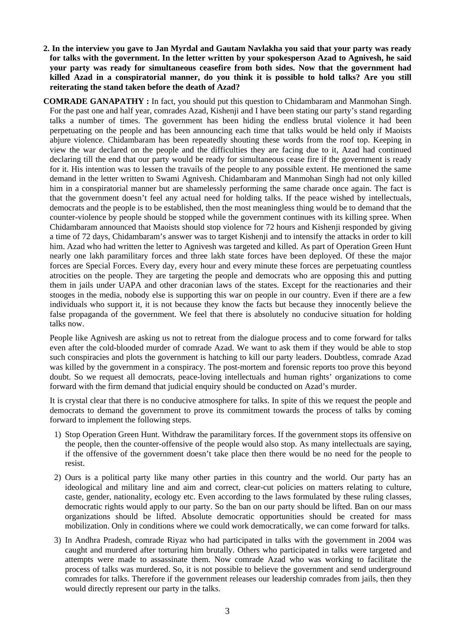**2. In the interview you gave to Jan Myrdal and Gautam Navlakha you said that your party was ready for talks with the government. In the letter written by your spokesperson Azad to Agnivesh, he said your party was ready for simultaneous ceasefire from both sides. Now that the government had killed Azad in a conspiratorial manner, do you think it is possible to hold talks? Are you still reiterating the stand taken before the death of Azad?** 

**COMRADE GANAPATHY :** In fact, you should put this question to Chidambaram and Manmohan Singh. For the past one and half year, comrades Azad, Kishenji and I have been stating our party's stand regarding talks a number of times. The government has been hiding the endless brutal violence it had been perpetuating on the people and has been announcing each time that talks would be held only if Maoists abjure violence. Chidambaram has been repeatedly shouting these words from the roof top. Keeping in view the war declared on the people and the difficulties they are facing due to it, Azad had continued declaring till the end that our party would be ready for simultaneous cease fire if the government is ready for it. His intention was to lessen the travails of the people to any possible extent. He mentioned the same demand in the letter written to Swami Agnivesh. Chidambaram and Manmohan Singh had not only killed him in a conspiratorial manner but are shamelessly performing the same charade once again. The fact is that the government doesn't feel any actual need for holding talks. If the peace wished by intellectuals, democrats and the people is to be established, then the most meaningless thing would be to demand that the counter-violence by people should be stopped while the government continues with its killing spree. When Chidambaram announced that Maoists should stop violence for 72 hours and Kishenji responded by giving a time of 72 days, Chidambaram's answer was to target Kishenji and to intensify the attacks in order to kill him. Azad who had written the letter to Agnivesh was targeted and killed. As part of Operation Green Hunt nearly one lakh paramilitary forces and three lakh state forces have been deployed. Of these the major forces are Special Forces. Every day, every hour and every minute these forces are perpetuating countless atrocities on the people. They are targeting the people and democrats who are opposing this and putting them in jails under UAPA and other draconian laws of the states. Except for the reactionaries and their stooges in the media, nobody else is supporting this war on people in our country. Even if there are a few individuals who support it, it is not because they know the facts but because they innocently believe the false propaganda of the government. We feel that there is absolutely no conducive situation for holding talks now.

People like Agnivesh are asking us not to retreat from the dialogue process and to come forward for talks even after the cold-blooded murder of comrade Azad. We want to ask them if they would be able to stop such conspiracies and plots the government is hatching to kill our party leaders. Doubtless, comrade Azad was killed by the government in a conspiracy. The post-mortem and forensic reports too prove this beyond doubt. So we request all democrats, peace-loving intellectuals and human rights' organizations to come forward with the firm demand that judicial enquiry should be conducted on Azad's murder.

It is crystal clear that there is no conducive atmosphere for talks. In spite of this we request the people and democrats to demand the government to prove its commitment towards the process of talks by coming forward to implement the following steps.

- 1) Stop Operation Green Hunt. Withdraw the paramilitary forces. If the government stops its offensive on the people, then the counter-offensive of the people would also stop. As many intellectuals are saying, if the offensive of the government doesn't take place then there would be no need for the people to resist.
- 2) Ours is a political party like many other parties in this country and the world. Our party has an ideological and military line and aim and correct, clear-cut policies on matters relating to culture, caste, gender, nationality, ecology etc. Even according to the laws formulated by these ruling classes, democratic rights would apply to our party. So the ban on our party should be lifted. Ban on our mass organizations should be lifted. Absolute democratic opportunities should be created for mass mobilization. Only in conditions where we could work democratically, we can come forward for talks.
- 3) In Andhra Pradesh, comrade Riyaz who had participated in talks with the government in 2004 was caught and murdered after torturing him brutally. Others who participated in talks were targeted and attempts were made to assassinate them. Now comrade Azad who was working to facilitate the process of talks was murdered. So, it is not possible to believe the government and send underground comrades for talks. Therefore if the government releases our leadership comrades from jails, then they would directly represent our party in the talks.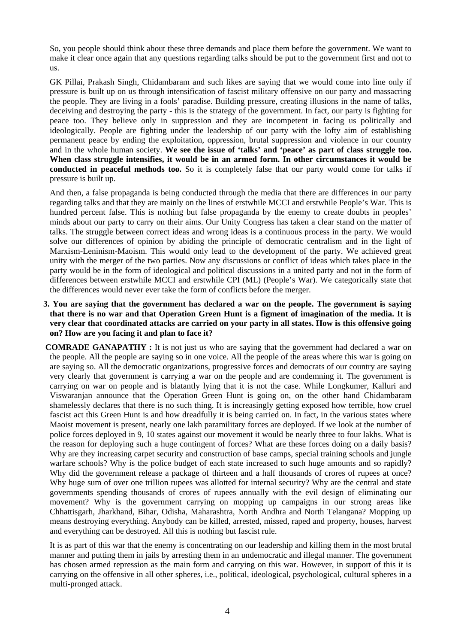So, you people should think about these three demands and place them before the government. We want to make it clear once again that any questions regarding talks should be put to the government first and not to us.

GK Pillai, Prakash Singh, Chidambaram and such likes are saying that we would come into line only if pressure is built up on us through intensification of fascist military offensive on our party and massacring the people. They are living in a fools' paradise. Building pressure, creating illusions in the name of talks, deceiving and destroying the party - this is the strategy of the government. In fact, our party is fighting for peace too. They believe only in suppression and they are incompetent in facing us politically and ideologically. People are fighting under the leadership of our party with the lofty aim of establishing permanent peace by ending the exploitation, oppression, brutal suppression and violence in our country and in the whole human society. **We see the issue of 'talks' and 'peace' as part of class struggle too. When class struggle intensifies, it would be in an armed form. In other circumstances it would be conducted in peaceful methods too.** So it is completely false that our party would come for talks if pressure is built up.

And then, a false propaganda is being conducted through the media that there are differences in our party regarding talks and that they are mainly on the lines of erstwhile MCCI and erstwhile People's War. This is hundred percent false. This is nothing but false propaganda by the enemy to create doubts in peoples' minds about our party to carry on their aims. Our Unity Congress has taken a clear stand on the matter of talks. The struggle between correct ideas and wrong ideas is a continuous process in the party. We would solve our differences of opinion by abiding the principle of democratic centralism and in the light of Marxism-Leninism-Maoism. This would only lead to the development of the party. We achieved great unity with the merger of the two parties. Now any discussions or conflict of ideas which takes place in the party would be in the form of ideological and political discussions in a united party and not in the form of differences between erstwhile MCCI and erstwhile CPI (ML) (People's War). We categorically state that the differences would never ever take the form of conflicts before the merger.

- **3. You are saying that the government has declared a war on the people. The government is saying that there is no war and that Operation Green Hunt is a figment of imagination of the media. It is very clear that coordinated attacks are carried on your party in all states. How is this offensive going on? How are you facing it and plan to face it?**
- **COMRADE GANAPATHY**: It is not just us who are saying that the government had declared a war on the people. All the people are saying so in one voice. All the people of the areas where this war is going on are saying so. All the democratic organizations, progressive forces and democrats of our country are saying very clearly that government is carrying a war on the people and are condemning it. The government is carrying on war on people and is blatantly lying that it is not the case. While Longkumer, Kalluri and Viswaranjan announce that the Operation Green Hunt is going on, on the other hand Chidambaram shamelessly declares that there is no such thing. It is increasingly getting exposed how terrible, how cruel fascist act this Green Hunt is and how dreadfully it is being carried on. In fact, in the various states where Maoist movement is present, nearly one lakh paramilitary forces are deployed. If we look at the number of police forces deployed in 9, 10 states against our movement it would be nearly three to four lakhs. What is the reason for deploying such a huge contingent of forces? What are these forces doing on a daily basis? Why are they increasing carpet security and construction of base camps, special training schools and jungle warfare schools? Why is the police budget of each state increased to such huge amounts and so rapidly? Why did the government release a package of thirteen and a half thousands of crores of rupees at once? Why huge sum of over one trillion rupees was allotted for internal security? Why are the central and state governments spending thousands of crores of rupees annually with the evil design of eliminating our movement? Why is the government carrying on mopping up campaigns in our strong areas like Chhattisgarh, Jharkhand, Bihar, Odisha, Maharashtra, North Andhra and North Telangana? Mopping up means destroying everything. Anybody can be killed, arrested, missed, raped and property, houses, harvest and everything can be destroyed. All this is nothing but fascist rule.

It is as part of this war that the enemy is concentrating on our leadership and killing them in the most brutal manner and putting them in jails by arresting them in an undemocratic and illegal manner. The government has chosen armed repression as the main form and carrying on this war. However, in support of this it is carrying on the offensive in all other spheres, i.e., political, ideological, psychological, cultural spheres in a multi-pronged attack.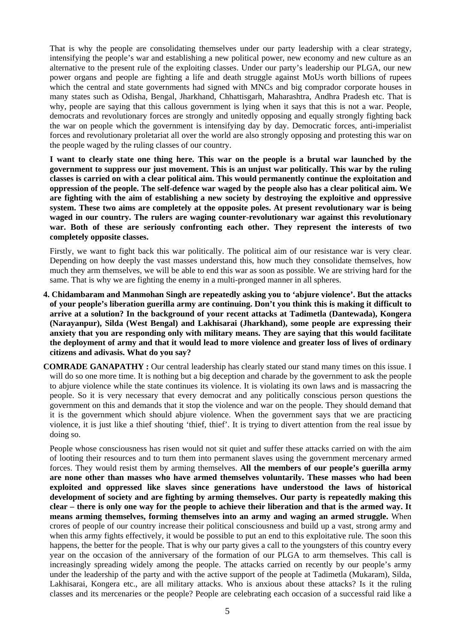That is why the people are consolidating themselves under our party leadership with a clear strategy, intensifying the people's war and establishing a new political power, new economy and new culture as an alternative to the present rule of the exploiting classes. Under our party's leadership our PLGA, our new power organs and people are fighting a life and death struggle against MoUs worth billions of rupees which the central and state governments had signed with MNCs and big comprador corporate houses in many states such as Odisha, Bengal, Jharkhand, Chhattisgarh, Maharashtra, Andhra Pradesh etc. That is why, people are saying that this callous government is lying when it says that this is not a war. People, democrats and revolutionary forces are strongly and unitedly opposing and equally strongly fighting back the war on people which the government is intensifying day by day. Democratic forces, anti-imperialist forces and revolutionary proletariat all over the world are also strongly opposing and protesting this war on the people waged by the ruling classes of our country.

**I want to clearly state one thing here. This war on the people is a brutal war launched by the government to suppress our just movement. This is an unjust war politically. This war by the ruling classes is carried on with a clear political aim. This would permanently continue the exploitation and oppression of the people. The self-defence war waged by the people also has a clear political aim. We are fighting with the aim of establishing a new society by destroying the exploitive and oppressive system. These two aims are completely at the opposite poles. At present revolutionary war is being waged in our country. The rulers are waging counter-revolutionary war against this revolutionary war. Both of these are seriously confronting each other. They represent the interests of two completely opposite classes.** 

Firstly, we want to fight back this war politically. The political aim of our resistance war is very clear. Depending on how deeply the vast masses understand this, how much they consolidate themselves, how much they arm themselves, we will be able to end this war as soon as possible. We are striving hard for the same. That is why we are fighting the enemy in a multi-pronged manner in all spheres.

- **4. Chidambaram and Manmohan Singh are repeatedly asking you to 'abjure violence'. But the attacks of your people's liberation guerilla army are continuing. Don't you think this is making it difficult to arrive at a solution? In the background of your recent attacks at Tadimetla (Dantewada), Kongera (Narayanpur), Silda (West Bengal) and Lakhisarai (Jharkhand), some people are expressing their anxiety that you are responding only with military means. They are saying that this would facilitate the deployment of army and that it would lead to more violence and greater loss of lives of ordinary citizens and adivasis. What do you say?**
- **COMRADE GANAPATHY :** Our central leadership has clearly stated our stand many times on this issue. I will do so one more time. It is nothing but a big deception and charade by the government to ask the people to abjure violence while the state continues its violence. It is violating its own laws and is massacring the people. So it is very necessary that every democrat and any politically conscious person questions the government on this and demands that it stop the violence and war on the people. They should demand that it is the government which should abjure violence. When the government says that we are practicing violence, it is just like a thief shouting 'thief, thief'. It is trying to divert attention from the real issue by doing so.

People whose consciousness has risen would not sit quiet and suffer these attacks carried on with the aim of looting their resources and to turn them into permanent slaves using the government mercenary armed forces. They would resist them by arming themselves. **All the members of our people's guerilla army are none other than masses who have armed themselves voluntarily. These masses who had been exploited and oppressed like slaves since generations have understood the laws of historical development of society and are fighting by arming themselves. Our party is repeatedly making this clear – there is only one way for the people to achieve their liberation and that is the armed way. It means arming themselves, forming themselves into an army and waging an armed struggle.** When crores of people of our country increase their political consciousness and build up a vast, strong army and when this army fights effectively, it would be possible to put an end to this exploitative rule. The soon this happens, the better for the people. That is why our party gives a call to the youngsters of this country every year on the occasion of the anniversary of the formation of our PLGA to arm themselves. This call is increasingly spreading widely among the people. The attacks carried on recently by our people's army under the leadership of the party and with the active support of the people at Tadimetla (Mukaram), Silda, Lakhisarai, Kongera etc., are all military attacks. Who is anxious about these attacks? Is it the ruling classes and its mercenaries or the people? People are celebrating each occasion of a successful raid like a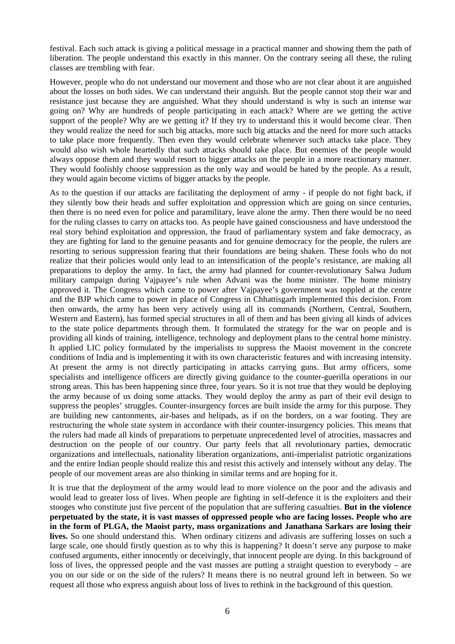festival. Each such attack is giving a political message in a practical manner and showing them the path of liberation. The people understand this exactly in this manner. On the contrary seeing all these, the ruling classes are trembling with fear.

However, people who do not understand our movement and those who are not clear about it are anguished about the losses on both sides. We can understand their anguish. But the people cannot stop their war and resistance just because they are anguished. What they should understand is why is such an intense war going on? Why are hundreds of people participating in each attack? Where are we getting the active support of the people? Why are we getting it? If they try to understand this it would become clear. Then they would realize the need for such big attacks, more such big attacks and the need for more such attacks to take place more frequently. Then even they would celebrate whenever such attacks take place. They would also wish whole heartedly that such attacks should take place. But enemies of the people would always oppose them and they would resort to bigger attacks on the people in a more reactionary manner. They would foolishly choose suppression as the only way and would be hated by the people. As a result, they would again become victims of bigger attacks by the people.

As to the question if our attacks are facilitating the deployment of army - if people do not fight back, if they silently bow their heads and suffer exploitation and oppression which are going on since centuries, then there is no need even for police and paramilitary, leave alone the army. Then there would be no need for the ruling classes to carry on attacks too. As people have gained consciousness and have understood the real story behind exploitation and oppression, the fraud of parliamentary system and fake democracy, as they are fighting for land to the genuine peasants and for genuine democracy for the people, the rulers are resorting to serious suppression fearing that their foundations are being shaken. These fools who do not realize that their policies would only lead to an intensification of the people's resistance, are making all preparations to deploy the army. In fact, the army had planned for counter-revolutionary Salwa Judum military campaign during Vajpayee's rule when Advani was the home minister. The home ministry approved it. The Congress which came to power after Vajpayee's government was toppled at the centre and the BJP which came to power in place of Congress in Chhattisgarh implemented this decision. From then onwards, the army has been very actively using all its commands (Northern, Central, Southern, Western and Eastern), has formed special structures in all of them and has been giving all kinds of advices to the state police departments through them. It formulated the strategy for the war on people and is providing all kinds of training, intelligence, technology and deployment plans to the central home ministry. It applied LIC policy formulated by the imperialists to suppress the Maoist movement in the concrete conditions of India and is implementing it with its own characteristic features and with increasing intensity. At present the army is not directly participating in attacks carrying guns. But army officers, some specialists and intelligence officers are directly giving guidance to the counter-guerilla operations in our strong areas. This has been happening since three, four years. So it is not true that they would be deploying the army because of us doing some attacks. They would deploy the army as part of their evil design to suppress the peoples' struggles. Counter-insurgency forces are built inside the army for this purpose. They are building new cantonments, air-bases and helipads, as if on the borders, on a war footing. They are restructuring the whole state system in accordance with their counter-insurgency policies. This means that the rulers had made all kinds of preparations to perpetuate unprecedented level of atrocities, massacres and destruction on the people of our country. Our party feels that all revolutionary parties, democratic organizations and intellectuals, nationality liberation organizations, anti-imperialist patriotic organizations and the entire Indian people should realize this and resist this actively and intensely without any delay. The people of our movement areas are also thinking in similar terms and are hoping for it.

It is true that the deployment of the army would lead to more violence on the poor and the adivasis and would lead to greater loss of lives. When people are fighting in self-defence it is the exploiters and their stooges who constitute just five percent of the population that are suffering casualties. **But in the violence perpetuated by the state, it is vast masses of oppressed people who are facing losses. People who are in the form of PLGA, the Maoist party, mass organizations and Janathana Sarkars are losing their lives.** So one should understand this. When ordinary citizens and adivasis are suffering losses on such a large scale, one should firstly question as to why this is happening? It doesn't serve any purpose to make confused arguments, either innocently or deceivingly, that innocent people are dying. In this background of loss of lives, the oppressed people and the vast masses are putting a straight question to everybody – are you on our side or on the side of the rulers? It means there is no neutral ground left in between. So we request all those who express anguish about loss of lives to rethink in the background of this question.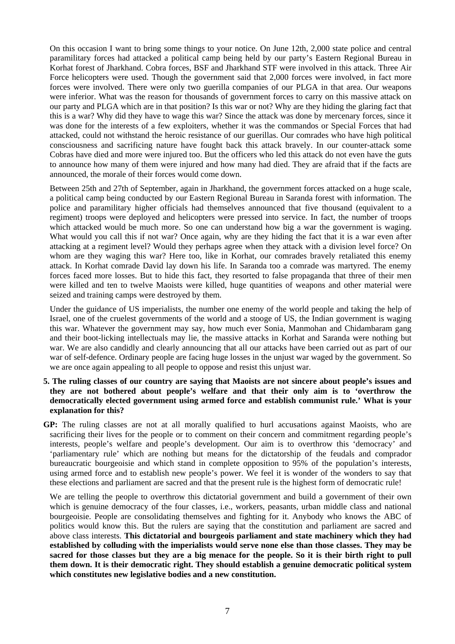On this occasion I want to bring some things to your notice. On June 12th, 2,000 state police and central paramilitary forces had attacked a political camp being held by our party's Eastern Regional Bureau in Korhat forest of Jharkhand. Cobra forces, BSF and Jharkhand STF were involved in this attack. Three Air Force helicopters were used. Though the government said that 2,000 forces were involved, in fact more forces were involved. There were only two guerilla companies of our PLGA in that area. Our weapons were inferior. What was the reason for thousands of government forces to carry on this massive attack on our party and PLGA which are in that position? Is this war or not? Why are they hiding the glaring fact that this is a war? Why did they have to wage this war? Since the attack was done by mercenary forces, since it was done for the interests of a few exploiters, whether it was the commandos or Special Forces that had attacked, could not withstand the heroic resistance of our guerillas. Our comrades who have high political consciousness and sacrificing nature have fought back this attack bravely. In our counter-attack some Cobras have died and more were injured too. But the officers who led this attack do not even have the guts to announce how many of them were injured and how many had died. They are afraid that if the facts are announced, the morale of their forces would come down.

Between 25th and 27th of September, again in Jharkhand, the government forces attacked on a huge scale, a political camp being conducted by our Eastern Regional Bureau in Saranda forest with information. The police and paramilitary higher officials had themselves announced that five thousand (equivalent to a regiment) troops were deployed and helicopters were pressed into service. In fact, the number of troops which attacked would be much more. So one can understand how big a war the government is waging. What would you call this if not war? Once again, why are they hiding the fact that it is a war even after attacking at a regiment level? Would they perhaps agree when they attack with a division level force? On whom are they waging this war? Here too, like in Korhat, our comrades bravely retaliated this enemy attack. In Korhat comrade David lay down his life. In Saranda too a comrade was martyred. The enemy forces faced more losses. But to hide this fact, they resorted to false propaganda that three of their men were killed and ten to twelve Maoists were killed, huge quantities of weapons and other material were seized and training camps were destroyed by them.

Under the guidance of US imperialists, the number one enemy of the world people and taking the help of Israel, one of the cruelest governments of the world and a stooge of US, the Indian government is waging this war. Whatever the government may say, how much ever Sonia, Manmohan and Chidambaram gang and their boot-licking intellectuals may lie, the massive attacks in Korhat and Saranda were nothing but war. We are also candidly and clearly announcing that all our attacks have been carried out as part of our war of self-defence. Ordinary people are facing huge losses in the unjust war waged by the government. So we are once again appealing to all people to oppose and resist this unjust war.

## **5. The ruling classes of our country are saying that Maoists are not sincere about people's issues and they are not bothered about people's welfare and that their only aim is to 'overthrow the democratically elected government using armed force and establish communist rule.' What is your explanation for this?**

**GP:** The ruling classes are not at all morally qualified to hurl accusations against Maoists, who are sacrificing their lives for the people or to comment on their concern and commitment regarding people's interests, people's welfare and people's development. Our aim is to overthrow this 'democracy' and 'parliamentary rule' which are nothing but means for the dictatorship of the feudals and comprador bureaucratic bourgeoisie and which stand in complete opposition to 95% of the population's interests, using armed force and to establish new people's power. We feel it is wonder of the wonders to say that these elections and parliament are sacred and that the present rule is the highest form of democratic rule!

We are telling the people to overthrow this dictatorial government and build a government of their own which is genuine democracy of the four classes, i.e., workers, peasants, urban middle class and national bourgeoisie. People are consolidating themselves and fighting for it. Anybody who knows the ABC of politics would know this. But the rulers are saying that the constitution and parliament are sacred and above class interests. **This dictatorial and bourgeois parliament and state machinery which they had established by colluding with the imperialists would serve none else than those classes. They may be sacred for those classes but they are a big menace for the people. So it is their birth right to pull them down. It is their democratic right. They should establish a genuine democratic political system which constitutes new legislative bodies and a new constitution.**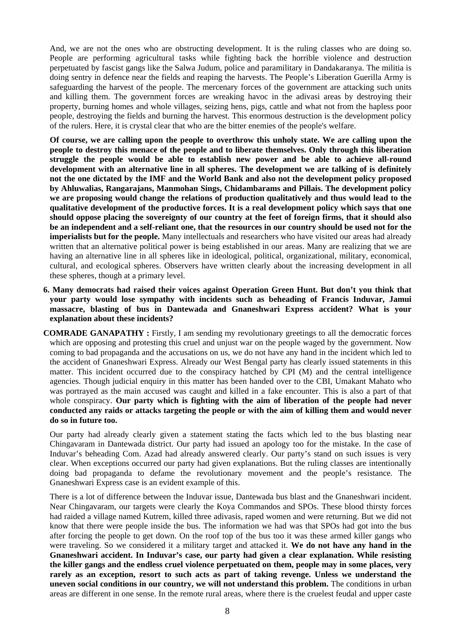And, we are not the ones who are obstructing development. It is the ruling classes who are doing so. People are performing agricultural tasks while fighting back the horrible violence and destruction perpetuated by fascist gangs like the Salwa Judum, police and paramilitary in Dandakaranya. The militia is doing sentry in defence near the fields and reaping the harvests. The People's Liberation Guerilla Army is safeguarding the harvest of the people. The mercenary forces of the government are attacking such units and killing them. The government forces are wreaking havoc in the adivasi areas by destroying their property, burning homes and whole villages, seizing hens, pigs, cattle and what not from the hapless poor people, destroying the fields and burning the harvest. This enormous destruction is the development policy of the rulers. Here, it is crystal clear that who are the bitter enemies of the people's welfare.

**Of course, we are calling upon the people to overthrow this unholy state. We are calling upon the people to destroy this menace of the people and to liberate themselves. Only through this liberation struggle the people would be able to establish new power and be able to achieve all-round development with an alternative line in all spheres. The development we are talking of is definitely not the one dictated by the IMF and the World Bank and also not the development policy proposed by Ahluwalias, Rangarajans, Manmohan Sings, Chidambarams and Pillais. The development policy we are proposing would change the relations of production qualitatively and thus would lead to the qualitative development of the productive forces. It is a real development policy which says that one should oppose placing the sovereignty of our country at the feet of foreign firms, that it should also be an independent and a self-reliant one, that the resources in our country should be used not for the imperialists but for the people.** Many intellectuals and researchers who have visited our areas had already written that an alternative political power is being established in our areas. Many are realizing that we are having an alternative line in all spheres like in ideological, political, organizational, military, economical, cultural, and ecological spheres. Observers have written clearly about the increasing development in all these spheres, though at a primary level.

- **6. Many democrats had raised their voices against Operation Green Hunt. But don't you think that your party would lose sympathy with incidents such as beheading of Francis Induvar, Jamui massacre, blasting of bus in Dantewada and Gnaneshwari Express accident? What is your explanation about these incidents?**
- **COMRADE GANAPATHY :** Firstly, I am sending my revolutionary greetings to all the democratic forces which are opposing and protesting this cruel and unjust war on the people waged by the government. Now coming to bad propaganda and the accusations on us, we do not have any hand in the incident which led to the accident of Gnaneshwari Express. Already our West Bengal party has clearly issued statements in this matter. This incident occurred due to the conspiracy hatched by CPI (M) and the central intelligence agencies. Though judicial enquiry in this matter has been handed over to the CBI, Umakant Mahato who was portrayed as the main accused was caught and killed in a fake encounter. This is also a part of that whole conspiracy. **Our party which is fighting with the aim of liberation of the people had never conducted any raids or attacks targeting the people or with the aim of killing them and would never do so in future too.**

Our party had already clearly given a statement stating the facts which led to the bus blasting near Chingavaram in Dantewada district. Our party had issued an apology too for the mistake. In the case of Induvar's beheading Com. Azad had already answered clearly. Our party's stand on such issues is very clear. When exceptions occurred our party had given explanations. But the ruling classes are intentionally doing bad propaganda to defame the revolutionary movement and the people's resistance. The Gnaneshwari Express case is an evident example of this.

There is a lot of difference between the Induvar issue, Dantewada bus blast and the Gnaneshwari incident. Near Chingavaram, our targets were clearly the Koya Commandos and SPOs. These blood thirsty forces had raided a village named Kutrem, killed three adivasis, raped women and were returning. But we did not know that there were people inside the bus. The information we had was that SPOs had got into the bus after forcing the people to get down. On the roof top of the bus too it was these armed killer gangs who were traveling. So we considered it a military target and attacked it. **We do not have any hand in the Gnaneshwari accident. In Induvar's case, our party had given a clear explanation. While resisting the killer gangs and the endless cruel violence perpetuated on them, people may in some places, very rarely as an exception, resort to such acts as part of taking revenge. Unless we understand the uneven social conditions in our country, we will not understand this problem.** The conditions in urban areas are different in one sense. In the remote rural areas, where there is the cruelest feudal and upper caste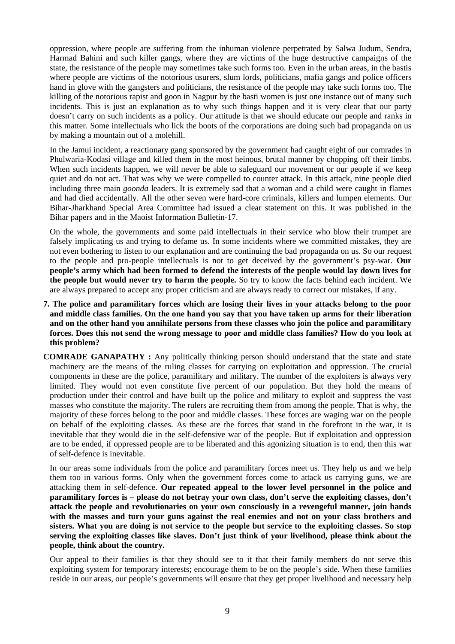oppression, where people are suffering from the inhuman violence perpetrated by Salwa Judum, Sendra, Harmad Bahini and such killer gangs, where they are victims of the huge destructive campaigns of the state, the resistance of the people may sometimes take such forms too. Even in the urban areas, in the bastis where people are victims of the notorious usurers, slum lords, politicians, mafia gangs and police officers hand in glove with the gangsters and politicians, the resistance of the people may take such forms too. The killing of the notorious rapist and goon in Nagpur by the basti women is just one instance out of many such incidents. This is just an explanation as to why such things happen and it is very clear that our party doesn't carry on such incidents as a policy. Our attitude is that we should educate our people and ranks in this matter. Some intellectuals who lick the boots of the corporations are doing such bad propaganda on us by making a mountain out of a molehill.

In the Jamui incident, a reactionary gang sponsored by the government had caught eight of our comrades in Phulwaria-Kodasi village and killed them in the most heinous, brutal manner by chopping off their limbs. When such incidents happen, we will never be able to safeguard our movement or our people if we keep quiet and do not act. That was why we were compelled to counter attack. In this attack, nine people died including three main *goonda* leaders. It is extremely sad that a woman and a child were caught in flames and had died accidentally. All the other seven were hard-core criminals, killers and lumpen elements. Our Bihar-Jharkhand Special Area Committee had issued a clear statement on this. It was published in the Bihar papers and in the Maoist Information Bulletin-17.

On the whole, the governments and some paid intellectuals in their service who blow their trumpet are falsely implicating us and trying to defame us. In some incidents where we committed mistakes, they are not even bothering to listen to our explanation and are continuing the bad propaganda on us. So our request to the people and pro-people intellectuals is not to get deceived by the government's psy-war. **Our people's army which had been formed to defend the interests of the people would lay down lives for the people but would never try to harm the people.** So try to know the facts behind each incident. We are always prepared to accept any proper criticism and are always ready to correct our mistakes, if any.

- **7. The police and paramilitary forces which are losing their lives in your attacks belong to the poor and middle class families. On the one hand you say that you have taken up arms for their liberation and on the other hand you annihilate persons from these classes who join the police and paramilitary forces. Does this not send the wrong message to poor and middle class families? How do you look at this problem?**
- **COMRADE GANAPATHY :** Any politically thinking person should understand that the state and state machinery are the means of the ruling classes for carrying on exploitation and oppression. The crucial components in these are the police, paramilitary and military. The number of the exploiters is always very limited. They would not even constitute five percent of our population. But they hold the means of production under their control and have built up the police and military to exploit and suppress the vast masses who constitute the majority. The rulers are recruiting them from among the people. That is why, the majority of these forces belong to the poor and middle classes. These forces are waging war on the people on behalf of the exploiting classes. As these are the forces that stand in the forefront in the war, it is inevitable that they would die in the self-defensive war of the people. But if exploitation and oppression are to be ended, if oppressed people are to be liberated and this agonizing situation is to end, then this war of self-defence is inevitable.

In our areas some individuals from the police and paramilitary forces meet us. They help us and we help them too in various forms. Only when the government forces come to attack us carrying guns, we are attacking them in self-defence. **Our repeated appeal to the lower level personnel in the police and paramilitary forces is – please do not betray your own class, don't serve the exploiting classes, don't attack the people and revolutionaries on your own consciously in a revengeful manner, join hands with the masses and turn your guns against the real enemies and not on your class brothers and sisters. What you are doing is not service to the people but service to the exploiting classes. So stop serving the exploiting classes like slaves. Don't just think of your livelihood, please think about the people, think about the country.** 

Our appeal to their families is that they should see to it that their family members do not serve this exploiting system for temporary interests; encourage them to be on the people's side. When these families reside in our areas, our people's governments will ensure that they get proper livelihood and necessary help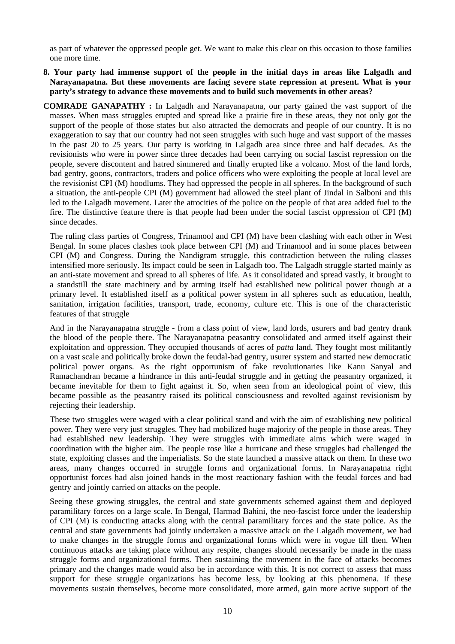as part of whatever the oppressed people get. We want to make this clear on this occasion to those families one more time.

- **8. Your party had immense support of the people in the initial days in areas like Lalgadh and Narayanapatna. But these movements are facing severe state repression at present. What is your party's strategy to advance these movements and to build such movements in other areas?**
- **COMRADE GANAPATHY :** In Lalgadh and Narayanapatna, our party gained the vast support of the masses. When mass struggles erupted and spread like a prairie fire in these areas, they not only got the support of the people of those states but also attracted the democrats and people of our country. It is no exaggeration to say that our country had not seen struggles with such huge and vast support of the masses in the past 20 to 25 years. Our party is working in Lalgadh area since three and half decades. As the revisionists who were in power since three decades had been carrying on social fascist repression on the people, severe discontent and hatred simmered and finally erupted like a volcano. Most of the land lords, bad gentry, goons, contractors, traders and police officers who were exploiting the people at local level are the revisionist CPI (M) hoodlums. They had oppressed the people in all spheres. In the background of such a situation, the anti-people CPI (M) government had allowed the steel plant of Jindal in Salboni and this led to the Lalgadh movement. Later the atrocities of the police on the people of that area added fuel to the fire. The distinctive feature there is that people had been under the social fascist oppression of CPI (M) since decades.

The ruling class parties of Congress, Trinamool and CPI (M) have been clashing with each other in West Bengal. In some places clashes took place between CPI (M) and Trinamool and in some places between CPI (M) and Congress. During the Nandigram struggle, this contradiction between the ruling classes intensified more seriously. Its impact could be seen in Lalgadh too. The Lalgadh struggle started mainly as an anti-state movement and spread to all spheres of life. As it consolidated and spread vastly, it brought to a standstill the state machinery and by arming itself had established new political power though at a primary level. It established itself as a political power system in all spheres such as education, health, sanitation, irrigation facilities, transport, trade, economy, culture etc. This is one of the characteristic features of that struggle

And in the Narayanapatna struggle - from a class point of view, land lords, usurers and bad gentry drank the blood of the people there. The Narayanapatna peasantry consolidated and armed itself against their exploitation and oppression. They occupied thousands of acres of *patta* land. They fought most militantly on a vast scale and politically broke down the feudal-bad gentry, usurer system and started new democratic political power organs. As the right opportunism of fake revolutionaries like Kanu Sanyal and Ramachandran became a hindrance in this anti-feudal struggle and in getting the peasantry organized, it became inevitable for them to fight against it. So, when seen from an ideological point of view, this became possible as the peasantry raised its political consciousness and revolted against revisionism by rejecting their leadership.

These two struggles were waged with a clear political stand and with the aim of establishing new political power. They were very just struggles. They had mobilized huge majority of the people in those areas. They had established new leadership. They were struggles with immediate aims which were waged in coordination with the higher aim. The people rose like a hurricane and these struggles had challenged the state, exploiting classes and the imperialists. So the state launched a massive attack on them. In these two areas, many changes occurred in struggle forms and organizational forms. In Narayanapatna right opportunist forces had also joined hands in the most reactionary fashion with the feudal forces and bad gentry and jointly carried on attacks on the people.

Seeing these growing struggles, the central and state governments schemed against them and deployed paramilitary forces on a large scale. In Bengal, Harmad Bahini, the neo-fascist force under the leadership of CPI (M) is conducting attacks along with the central paramilitary forces and the state police. As the central and state governments had jointly undertaken a massive attack on the Lalgadh movement, we had to make changes in the struggle forms and organizational forms which were in vogue till then. When continuous attacks are taking place without any respite, changes should necessarily be made in the mass struggle forms and organizational forms. Then sustaining the movement in the face of attacks becomes primary and the changes made would also be in accordance with this. It is not correct to assess that mass support for these struggle organizations has become less, by looking at this phenomena. If these movements sustain themselves, become more consolidated, more armed, gain more active support of the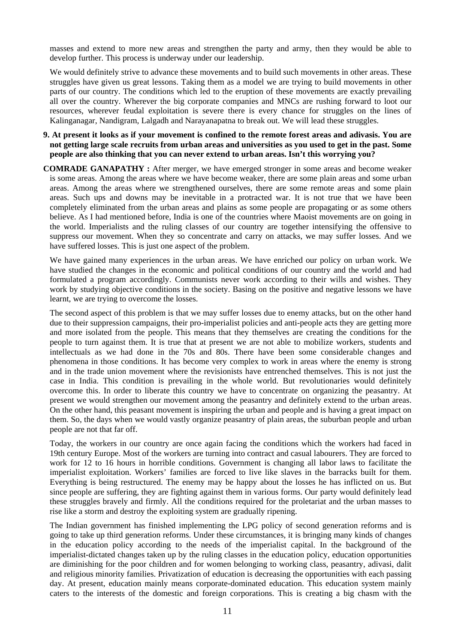masses and extend to more new areas and strengthen the party and army, then they would be able to develop further. This process is underway under our leadership.

We would definitely strive to advance these movements and to build such movements in other areas. These struggles have given us great lessons. Taking them as a model we are trying to build movements in other parts of our country. The conditions which led to the eruption of these movements are exactly prevailing all over the country. Wherever the big corporate companies and MNCs are rushing forward to loot our resources, wherever feudal exploitation is severe there is every chance for struggles on the lines of Kalinganagar, Nandigram, Lalgadh and Narayanapatna to break out. We will lead these struggles.

- **9. At present it looks as if your movement is confined to the remote forest areas and adivasis. You are not getting large scale recruits from urban areas and universities as you used to get in the past. Some people are also thinking that you can never extend to urban areas. Isn't this worrying you?**
- **COMRADE GANAPATHY :** After merger, we have emerged stronger in some areas and become weaker is some areas. Among the areas where we have become weaker, there are some plain areas and some urban areas. Among the areas where we strengthened ourselves, there are some remote areas and some plain areas. Such ups and downs may be inevitable in a protracted war. It is not true that we have been completely eliminated from the urban areas and plains as some people are propagating or as some others believe. As I had mentioned before, India is one of the countries where Maoist movements are on going in the world. Imperialists and the ruling classes of our country are together intensifying the offensive to suppress our movement. When they so concentrate and carry on attacks, we may suffer losses. And we have suffered losses. This is just one aspect of the problem.

We have gained many experiences in the urban areas. We have enriched our policy on urban work. We have studied the changes in the economic and political conditions of our country and the world and had formulated a program accordingly. Communists never work according to their wills and wishes. They work by studying objective conditions in the society. Basing on the positive and negative lessons we have learnt, we are trying to overcome the losses.

The second aspect of this problem is that we may suffer losses due to enemy attacks, but on the other hand due to their suppression campaigns, their pro-imperialist policies and anti-people acts they are getting more and more isolated from the people. This means that they themselves are creating the conditions for the people to turn against them. It is true that at present we are not able to mobilize workers, students and intellectuals as we had done in the 70s and 80s. There have been some considerable changes and phenomena in those conditions. It has become very complex to work in areas where the enemy is strong and in the trade union movement where the revisionists have entrenched themselves. This is not just the case in India. This condition is prevailing in the whole world. But revolutionaries would definitely overcome this. In order to liberate this country we have to concentrate on organizing the peasantry. At present we would strengthen our movement among the peasantry and definitely extend to the urban areas. On the other hand, this peasant movement is inspiring the urban and people and is having a great impact on them. So, the days when we would vastly organize peasantry of plain areas, the suburban people and urban people are not that far off.

Today, the workers in our country are once again facing the conditions which the workers had faced in 19th century Europe. Most of the workers are turning into contract and casual labourers. They are forced to work for 12 to 16 hours in horrible conditions. Government is changing all labor laws to facilitate the imperialist exploitation. Workers' families are forced to live like slaves in the barracks built for them. Everything is being restructured. The enemy may be happy about the losses he has inflicted on us. But since people are suffering, they are fighting against them in various forms. Our party would definitely lead these struggles bravely and firmly. All the conditions required for the proletariat and the urban masses to rise like a storm and destroy the exploiting system are gradually ripening.

The Indian government has finished implementing the LPG policy of second generation reforms and is going to take up third generation reforms. Under these circumstances, it is bringing many kinds of changes in the education policy according to the needs of the imperialist capital. In the background of the imperialist-dictated changes taken up by the ruling classes in the education policy, education opportunities are diminishing for the poor children and for women belonging to working class, peasantry, adivasi, dalit and religious minority families. Privatization of education is decreasing the opportunities with each passing day. At present, education mainly means corporate-dominated education. This education system mainly caters to the interests of the domestic and foreign corporations. This is creating a big chasm with the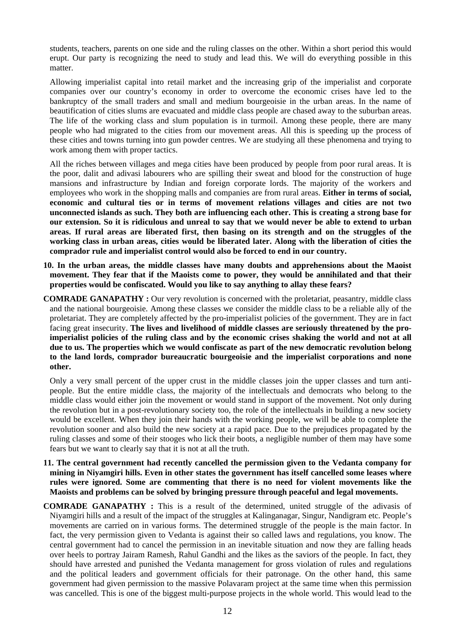students, teachers, parents on one side and the ruling classes on the other. Within a short period this would erupt. Our party is recognizing the need to study and lead this. We will do everything possible in this matter.

Allowing imperialist capital into retail market and the increasing grip of the imperialist and corporate companies over our country's economy in order to overcome the economic crises have led to the bankruptcy of the small traders and small and medium bourgeoisie in the urban areas. In the name of beautification of cities slums are evacuated and middle class people are chased away to the suburban areas. The life of the working class and slum population is in turmoil. Among these people, there are many people who had migrated to the cities from our movement areas. All this is speeding up the process of these cities and towns turning into gun powder centres. We are studying all these phenomena and trying to work among them with proper tactics.

All the riches between villages and mega cities have been produced by people from poor rural areas. It is the poor, dalit and adivasi labourers who are spilling their sweat and blood for the construction of huge mansions and infrastructure by Indian and foreign corporate lords. The majority of the workers and employees who work in the shopping malls and companies are from rural areas. **Either in terms of social, economic and cultural ties or in terms of movement relations villages and cities are not two unconnected islands as such. They both are influencing each other. This is creating a strong base for our extension. So it is ridiculous and unreal to say that we would never be able to extend to urban areas. If rural areas are liberated first, then basing on its strength and on the struggles of the working class in urban areas, cities would be liberated later. Along with the liberation of cities the comprador rule and imperialist control would also be forced to end in our country.**

- **10. In the urban areas, the middle classes have many doubts and apprehensions about the Maoist movement. They fear that if the Maoists come to power, they would be annihilated and that their properties would be confiscated. Would you like to say anything to allay these fears?**
- **COMRADE GANAPATHY :** Our very revolution is concerned with the proletariat, peasantry, middle class and the national bourgeoisie. Among these classes we consider the middle class to be a reliable ally of the proletariat. They are completely affected by the pro-imperialist policies of the government. They are in fact facing great insecurity. **The lives and livelihood of middle classes are seriously threatened by the proimperialist policies of the ruling class and by the economic crises shaking the world and not at all due to us. The properties which we would confiscate as part of the new democratic revolution belong to the land lords, comprador bureaucratic bourgeoisie and the imperialist corporations and none other.**

Only a very small percent of the upper crust in the middle classes join the upper classes and turn antipeople. But the entire middle class, the majority of the intellectuals and democrats who belong to the middle class would either join the movement or would stand in support of the movement. Not only during the revolution but in a post-revolutionary society too, the role of the intellectuals in building a new society would be excellent. When they join their hands with the working people, we will be able to complete the revolution sooner and also build the new society at a rapid pace. Due to the prejudices propagated by the ruling classes and some of their stooges who lick their boots, a negligible number of them may have some fears but we want to clearly say that it is not at all the truth.

- **11. The central government had recently cancelled the permission given to the Vedanta company for mining in Niyamgiri hills. Even in other states the government has itself cancelled some leases where rules were ignored. Some are commenting that there is no need for violent movements like the Maoists and problems can be solved by bringing pressure through peaceful and legal movements.**
- **COMRADE GANAPATHY :** This is a result of the determined, united struggle of the adivasis of Niyamgiri hills and a result of the impact of the struggles at Kalinganagar, Singur, Nandigram etc. People's movements are carried on in various forms. The determined struggle of the people is the main factor. In fact, the very permission given to Vedanta is against their so called laws and regulations, you know. The central government had to cancel the permission in an inevitable situation and now they are falling heads over heels to portray Jairam Ramesh, Rahul Gandhi and the likes as the saviors of the people. In fact, they should have arrested and punished the Vedanta management for gross violation of rules and regulations and the political leaders and government officials for their patronage. On the other hand, this same government had given permission to the massive Polavaram project at the same time when this permission was cancelled. This is one of the biggest multi-purpose projects in the whole world. This would lead to the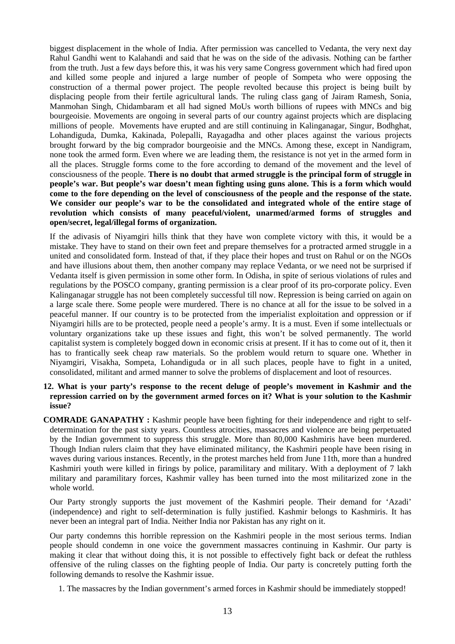biggest displacement in the whole of India. After permission was cancelled to Vedanta, the very next day Rahul Gandhi went to Kalahandi and said that he was on the side of the adivasis. Nothing can be farther from the truth. Just a few days before this, it was his very same Congress government which had fired upon and killed some people and injured a large number of people of Sompeta who were opposing the construction of a thermal power project. The people revolted because this project is being built by displacing people from their fertile agricultural lands. The ruling class gang of Jairam Ramesh, Sonia, Manmohan Singh, Chidambaram et all had signed MoUs worth billions of rupees with MNCs and big bourgeoisie. Movements are ongoing in several parts of our country against projects which are displacing millions of people. Movements have erupted and are still continuing in Kalinganagar, Singur, Bodhghat, Lohandiguda, Dumka, Kakinada, Polepalli, Rayagadha and other places against the various projects brought forward by the big comprador bourgeoisie and the MNCs. Among these, except in Nandigram, none took the armed form. Even where we are leading them, the resistance is not yet in the armed form in all the places. Struggle forms come to the fore according to demand of the movement and the level of consciousness of the people. **There is no doubt that armed struggle is the principal form of struggle in people's war. But people's war doesn't mean fighting using guns alone. This is a form which would come to the fore depending on the level of consciousness of the people and the response of the state. We consider our people's war to be the consolidated and integrated whole of the entire stage of revolution which consists of many peaceful/violent, unarmed/armed forms of struggles and open/secret, legal/illegal forms of organization.** 

If the adivasis of Niyamgiri hills think that they have won complete victory with this, it would be a mistake. They have to stand on their own feet and prepare themselves for a protracted armed struggle in a united and consolidated form. Instead of that, if they place their hopes and trust on Rahul or on the NGOs and have illusions about them, then another company may replace Vedanta, or we need not be surprised if Vedanta itself is given permission in some other form. In Odisha, in spite of serious violations of rules and regulations by the POSCO company, granting permission is a clear proof of its pro-corporate policy. Even Kalinganagar struggle has not been completely successful till now. Repression is being carried on again on a large scale there. Some people were murdered. There is no chance at all for the issue to be solved in a peaceful manner. If our country is to be protected from the imperialist exploitation and oppression or if Niyamgiri hills are to be protected, people need a people's army. It is a must. Even if some intellectuals or voluntary organizations take up these issues and fight, this won't be solved permanently. The world capitalist system is completely bogged down in economic crisis at present. If it has to come out of it, then it has to frantically seek cheap raw materials. So the problem would return to square one. Whether in Niyamgiri, Visakha, Sompeta, Lohandiguda or in all such places, people have to fight in a united, consolidated, militant and armed manner to solve the problems of displacement and loot of resources.

## **12. What is your party's response to the recent deluge of people's movement in Kashmir and the repression carried on by the government armed forces on it? What is your solution to the Kashmir issue?**

**COMRADE GANAPATHY :** Kashmir people have been fighting for their independence and right to selfdetermination for the past sixty years. Countless atrocities, massacres and violence are being perpetuated by the Indian government to suppress this struggle. More than 80,000 Kashmiris have been murdered. Though Indian rulers claim that they have eliminated militancy, the Kashmiri people have been rising in waves during various instances. Recently, in the protest marches held from June 11th, more than a hundred Kashmiri youth were killed in firings by police, paramilitary and military. With a deployment of 7 lakh military and paramilitary forces, Kashmir valley has been turned into the most militarized zone in the whole world.

Our Party strongly supports the just movement of the Kashmiri people. Their demand for 'Azadi' (independence) and right to self-determination is fully justified. Kashmir belongs to Kashmiris. It has never been an integral part of India. Neither India nor Pakistan has any right on it.

Our party condemns this horrible repression on the Kashmiri people in the most serious terms. Indian people should condemn in one voice the government massacres continuing in Kashmir. Our party is making it clear that without doing this, it is not possible to effectively fight back or defeat the ruthless offensive of the ruling classes on the fighting people of India. Our party is concretely putting forth the following demands to resolve the Kashmir issue.

1. The massacres by the Indian government's armed forces in Kashmir should be immediately stopped!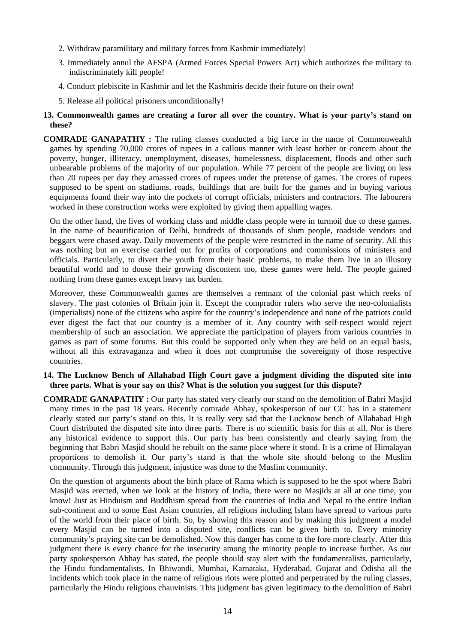- 2. Withdraw paramilitary and military forces from Kashmir immediately!
- 3. Immediately annul the AFSPA (Armed Forces Special Powers Act) which authorizes the military to indiscriminately kill people!
- 4. Conduct plebiscite in Kashmir and let the Kashmiris decide their future on their own!
- 5. Release all political prisoners unconditionally!

# **13. Commonwealth games are creating a furor all over the country. What is your party's stand on these?**

**COMRADE GANAPATHY :** The ruling classes conducted a big farce in the name of Commonwealth games by spending 70,000 crores of rupees in a callous manner with least bother or concern about the poverty, hunger, illiteracy, unemployment, diseases, homelessness, displacement, floods and other such unbearable problems of the majority of our population. While 77 percent of the people are living on less than 20 rupees per day they amassed crores of rupees under the pretense of games. The crores of rupees supposed to be spent on stadiums, roads, buildings that are built for the games and in buying various equipments found their way into the pockets of corrupt officials, ministers and contractors. The labourers worked in these construction works were exploited by giving them appalling wages.

On the other hand, the lives of working class and middle class people were in turmoil due to these games. In the name of beautification of Delhi, hundreds of thousands of slum people, roadside vendors and beggars were chased away. Daily movements of the people were restricted in the name of security. All this was nothing but an exercise carried out for profits of corporations and commissions of ministers and officials. Particularly, to divert the youth from their basic problems, to make them live in an illusory beautiful world and to douse their growing discontent too, these games were held. The people gained nothing from these games except heavy tax burden.

Moreover, these Commonwealth games are themselves a remnant of the colonial past which reeks of slavery. The past colonies of Britain join it. Except the comprador rulers who serve the neo-colonialists (imperialists) none of the citizens who aspire for the country's independence and none of the patriots could ever digest the fact that our country is a member of it. Any country with self-respect would reject membership of such an association. We appreciate the participation of players from various countries in games as part of some forums. But this could be supported only when they are held on an equal basis, without all this extravaganza and when it does not compromise the sovereignty of those respective countries.

## **14. The Lucknow Bench of Allahabad High Court gave a judgment dividing the disputed site into three parts. What is your say on this? What is the solution you suggest for this dispute?**

**COMRADE GANAPATHY :** Our party has stated very clearly our stand on the demolition of Babri Masjid many times in the past 18 years. Recently comrade Abhay, spokesperson of our CC has in a statement clearly stated our party's stand on this. It is really very sad that the Lucknow bench of Allahabad High Court distributed the disputed site into three parts. There is no scientific basis for this at all. Nor is there any historical evidence to support this. Our party has been consistently and clearly saying from the beginning that Babri Masjid should be rebuilt on the same place where it stood. It is a crime of Himalayan proportions to demolish it. Our party's stand is that the whole site should belong to the Muslim community. Through this judgment, injustice was done to the Muslim community.

On the question of arguments about the birth place of Rama which is supposed to be the spot where Babri Masjid was erected, when we look at the history of India, there were no Masjids at all at one time, you know! Just as Hinduism and Buddhism spread from the countries of India and Nepal to the entire Indian sub-continent and to some East Asian countries, all religions including Islam have spread to various parts of the world from their place of birth. So, by showing this reason and by making this judgment a model every Masjid can be turned into a disputed site, conflicts can be given birth to. Every minority community's praying site can be demolished. Now this danger has come to the fore more clearly. After this judgment there is every chance for the insecurity among the minority people to increase further. As our party spokesperson Abhay has stated, the people should stay alert with the fundamentalists, particularly, the Hindu fundamentalists. In Bhiwandi, Mumbai, Karnataka, Hyderabad, Gujarat and Odisha all the incidents which took place in the name of religious riots were plotted and perpetrated by the ruling classes, particularly the Hindu religious chauvinists. This judgment has given legitimacy to the demolition of Babri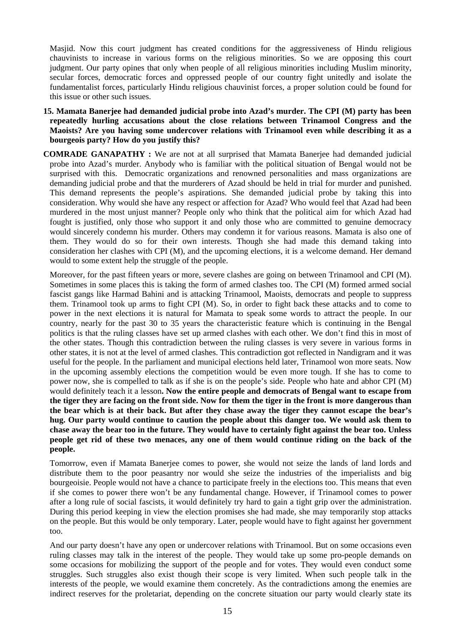Masjid. Now this court judgment has created conditions for the aggressiveness of Hindu religious chauvinists to increase in various forms on the religious minorities. So we are opposing this court judgment. Our party opines that only when people of all religious minorities including Muslim minority, secular forces, democratic forces and oppressed people of our country fight unitedly and isolate the fundamentalist forces, particularly Hindu religious chauvinist forces, a proper solution could be found for this issue or other such issues.

- **15. Mamata Banerjee had demanded judicial probe into Azad's murder. The CPI (M) party has been repeatedly hurling accusations about the close relations between Trinamool Congress and the Maoists? Are you having some undercover relations with Trinamool even while describing it as a bourgeois party? How do you justify this?**
- **COMRADE GANAPATHY :** We are not at all surprised that Mamata Banerjee had demanded judicial probe into Azad's murder. Anybody who is familiar with the political situation of Bengal would not be surprised with this. Democratic organizations and renowned personalities and mass organizations are demanding judicial probe and that the murderers of Azad should be held in trial for murder and punished. This demand represents the people's aspirations. She demanded judicial probe by taking this into consideration. Why would she have any respect or affection for Azad? Who would feel that Azad had been murdered in the most unjust manner? People only who think that the political aim for which Azad had fought is justified, only those who support it and only those who are committed to genuine democracy would sincerely condemn his murder. Others may condemn it for various reasons. Mamata is also one of them. They would do so for their own interests. Though she had made this demand taking into consideration her clashes with CPI (M), and the upcoming elections, it is a welcome demand. Her demand would to some extent help the struggle of the people.

Moreover, for the past fifteen years or more, severe clashes are going on between Trinamool and CPI (M). Sometimes in some places this is taking the form of armed clashes too. The CPI (M) formed armed social fascist gangs like Harmad Bahini and is attacking Trinamool, Maoists, democrats and people to suppress them. Trinamool took up arms to fight CPI (M). So, in order to fight back these attacks and to come to power in the next elections it is natural for Mamata to speak some words to attract the people. In our country, nearly for the past 30 to 35 years the characteristic feature which is continuing in the Bengal politics is that the ruling classes have set up armed clashes with each other. We don't find this in most of the other states. Though this contradiction between the ruling classes is very severe in various forms in other states, it is not at the level of armed clashes. This contradiction got reflected in Nandigram and it was useful for the people. In the parliament and municipal elections held later, Trinamool won more seats. Now in the upcoming assembly elections the competition would be even more tough. If she has to come to power now, she is compelled to talk as if she is on the people's side. People who hate and abhor CPI (M) would definitely teach it a lesson**. Now the entire people and democrats of Bengal want to escape from the tiger they are facing on the front side. Now for them the tiger in the front is more dangerous than the bear which is at their back. But after they chase away the tiger they cannot escape the bear's hug. Our party would continue to caution the people about this danger too. We would ask them to chase away the bear too in the future. They would have to certainly fight against the bear too. Unless people get rid of these two menaces, any one of them would continue riding on the back of the people.** 

Tomorrow, even if Mamata Banerjee comes to power, she would not seize the lands of land lords and distribute them to the poor peasantry nor would she seize the industries of the imperialists and big bourgeoisie. People would not have a chance to participate freely in the elections too. This means that even if she comes to power there won't be any fundamental change. However, if Trinamool comes to power after a long rule of social fascists, it would definitely try hard to gain a tight grip over the administration. During this period keeping in view the election promises she had made, she may temporarily stop attacks on the people. But this would be only temporary. Later, people would have to fight against her government too.

And our party doesn't have any open or undercover relations with Trinamool. But on some occasions even ruling classes may talk in the interest of the people. They would take up some pro-people demands on some occasions for mobilizing the support of the people and for votes. They would even conduct some struggles. Such struggles also exist though their scope is very limited. When such people talk in the interests of the people, we would examine them concretely. As the contradictions among the enemies are indirect reserves for the proletariat, depending on the concrete situation our party would clearly state its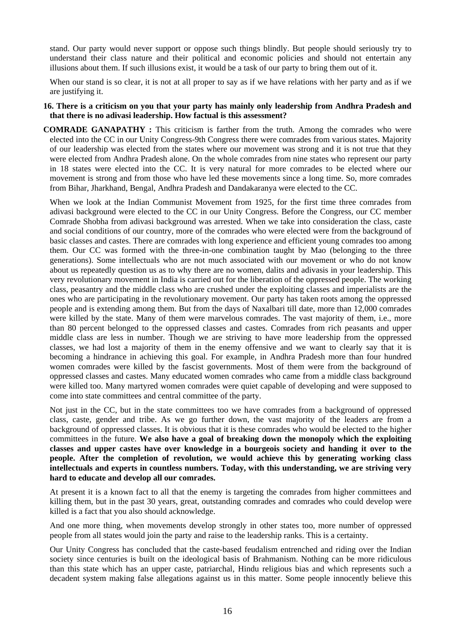stand. Our party would never support or oppose such things blindly. But people should seriously try to understand their class nature and their political and economic policies and should not entertain any illusions about them. If such illusions exist, it would be a task of our party to bring them out of it.

When our stand is so clear, it is not at all proper to say as if we have relations with her party and as if we are justifying it.

#### **16. There is a criticism on you that your party has mainly only leadership from Andhra Pradesh and that there is no adivasi leadership. How factual is this assessment?**

**COMRADE GANAPATHY :** This criticism is farther from the truth. Among the comrades who were elected into the CC in our Unity Congress-9th Congress there were comrades from various states. Majority of our leadership was elected from the states where our movement was strong and it is not true that they were elected from Andhra Pradesh alone. On the whole comrades from nine states who represent our party in 18 states were elected into the CC. It is very natural for more comrades to be elected where our movement is strong and from those who have led these movements since a long time. So, more comrades from Bihar, Jharkhand, Bengal, Andhra Pradesh and Dandakaranya were elected to the CC.

When we look at the Indian Communist Movement from 1925, for the first time three comrades from adivasi background were elected to the CC in our Unity Congress. Before the Congress, our CC member Comrade Shobha from adivasi background was arrested. When we take into consideration the class, caste and social conditions of our country, more of the comrades who were elected were from the background of basic classes and castes. There are comrades with long experience and efficient young comrades too among them. Our CC was formed with the three-in-one combination taught by Mao (belonging to the three generations). Some intellectuals who are not much associated with our movement or who do not know about us repeatedly question us as to why there are no women, dalits and adivasis in your leadership. This very revolutionary movement in India is carried out for the liberation of the oppressed people. The working class, peasantry and the middle class who are crushed under the exploiting classes and imperialists are the ones who are participating in the revolutionary movement. Our party has taken roots among the oppressed people and is extending among them. But from the days of Naxalbari till date, more than 12,000 comrades were killed by the state. Many of them were marvelous comrades. The vast majority of them, i.e., more than 80 percent belonged to the oppressed classes and castes. Comrades from rich peasants and upper middle class are less in number. Though we are striving to have more leadership from the oppressed classes, we had lost a majority of them in the enemy offensive and we want to clearly say that it is becoming a hindrance in achieving this goal. For example, in Andhra Pradesh more than four hundred women comrades were killed by the fascist governments. Most of them were from the background of oppressed classes and castes. Many educated women comrades who came from a middle class background were killed too. Many martyred women comrades were quiet capable of developing and were supposed to come into state committees and central committee of the party.

Not just in the CC, but in the state committees too we have comrades from a background of oppressed class, caste, gender and tribe. As we go further down, the vast majority of the leaders are from a background of oppressed classes. It is obvious that it is these comrades who would be elected to the higher committees in the future. **We also have a goal of breaking down the monopoly which the exploiting classes and upper castes have over knowledge in a bourgeois society and handing it over to the people. After the completion of revolution, we would achieve this by generating working class intellectuals and experts in countless numbers. Today, with this understanding, we are striving very hard to educate and develop all our comrades.** 

At present it is a known fact to all that the enemy is targeting the comrades from higher committees and killing them, but in the past 30 years, great, outstanding comrades and comrades who could develop were killed is a fact that you also should acknowledge.

And one more thing, when movements develop strongly in other states too, more number of oppressed people from all states would join the party and raise to the leadership ranks. This is a certainty.

Our Unity Congress has concluded that the caste-based feudalism entrenched and riding over the Indian society since centuries is built on the ideological basis of Brahmanism. Nothing can be more ridiculous than this state which has an upper caste, patriarchal, Hindu religious bias and which represents such a decadent system making false allegations against us in this matter. Some people innocently believe this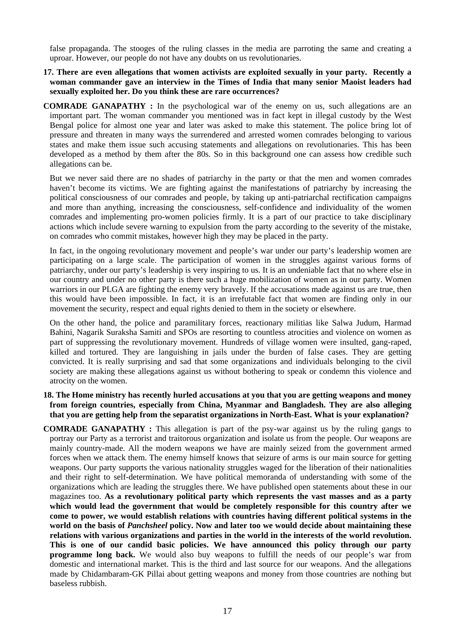false propaganda. The stooges of the ruling classes in the media are parroting the same and creating a uproar. However, our people do not have any doubts on us revolutionaries.

## **17. There are even allegations that women activists are exploited sexually in your party. Recently a woman commander gave an interview in the Times of India that many senior Maoist leaders had sexually exploited her. Do you think these are rare occurrences?**

**COMRADE GANAPATHY :** In the psychological war of the enemy on us, such allegations are an important part. The woman commander you mentioned was in fact kept in illegal custody by the West Bengal police for almost one year and later was asked to make this statement. The police bring lot of pressure and threaten in many ways the surrendered and arrested women comrades belonging to various states and make them issue such accusing statements and allegations on revolutionaries. This has been developed as a method by them after the 80s. So in this background one can assess how credible such allegations can be.

But we never said there are no shades of patriarchy in the party or that the men and women comrades haven't become its victims. We are fighting against the manifestations of patriarchy by increasing the political consciousness of our comrades and people, by taking up anti-patriarchal rectification campaigns and more than anything, increasing the consciousness, self-confidence and individuality of the women comrades and implementing pro-women policies firmly. It is a part of our practice to take disciplinary actions which include severe warning to expulsion from the party according to the severity of the mistake, on comrades who commit mistakes, however high they may be placed in the party.

In fact, in the ongoing revolutionary movement and people's war under our party's leadership women are participating on a large scale. The participation of women in the struggles against various forms of patriarchy, under our party's leadership is very inspiring to us. It is an undeniable fact that no where else in our country and under no other party is there such a huge mobilization of women as in our party. Women warriors in our PLGA are fighting the enemy very bravely. If the accusations made against us are true, then this would have been impossible. In fact, it is an irrefutable fact that women are finding only in our movement the security, respect and equal rights denied to them in the society or elsewhere.

On the other hand, the police and paramilitary forces, reactionary militias like Salwa Judum, Harmad Bahini, Nagarik Suraksha Samiti and SPOs are resorting to countless atrocities and violence on women as part of suppressing the revolutionary movement. Hundreds of village women were insulted, gang-raped, killed and tortured. They are languishing in jails under the burden of false cases. They are getting convicted. It is really surprising and sad that some organizations and individuals belonging to the civil society are making these allegations against us without bothering to speak or condemn this violence and atrocity on the women.

# **18. The Home ministry has recently hurled accusations at you that you are getting weapons and money from foreign countries, especially from China, Myanmar and Bangladesh. They are also alleging that you are getting help from the separatist organizations in North-East. What is your explanation?**

**COMRADE GANAPATHY :** This allegation is part of the psy-war against us by the ruling gangs to portray our Party as a terrorist and traitorous organization and isolate us from the people. Our weapons are mainly country-made. All the modern weapons we have are mainly seized from the government armed forces when we attack them. The enemy himself knows that seizure of arms is our main source for getting weapons. Our party supports the various nationality struggles waged for the liberation of their nationalities and their right to self-determination. We have political memoranda of understanding with some of the organizations which are leading the struggles there. We have published open statements about these in our magazines too. **As a revolutionary political party which represents the vast masses and as a party which would lead the government that would be completely responsible for this country after we come to power, we would establish relations with countries having different political systems in the world on the basis of** *Panchsheel* **policy. Now and later too we would decide about maintaining these**  relations with various organizations and parties in the world in the interests of the world revolution. **This is one of our candid basic policies. We have announced this policy through our party programme long back.** We would also buy weapons to fulfill the needs of our people's war from domestic and international market. This is the third and last source for our weapons. And the allegations made by Chidambaram-GK Pillai about getting weapons and money from those countries are nothing but baseless rubbish.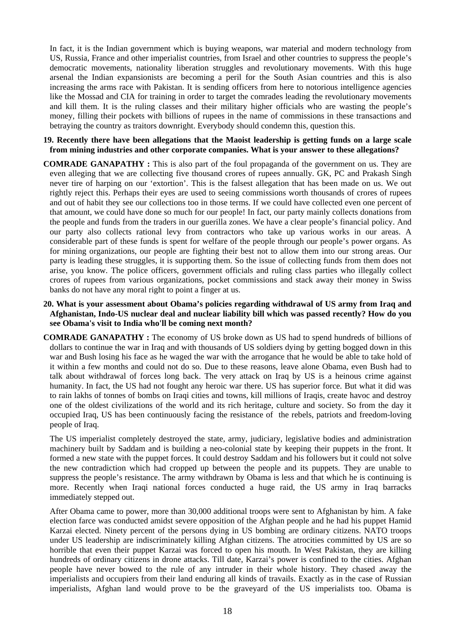In fact, it is the Indian government which is buying weapons, war material and modern technology from US, Russia, France and other imperialist countries, from Israel and other countries to suppress the people's democratic movements, nationality liberation struggles and revolutionary movements. With this huge arsenal the Indian expansionists are becoming a peril for the South Asian countries and this is also increasing the arms race with Pakistan. It is sending officers from here to notorious intelligence agencies like the Mossad and CIA for training in order to target the comrades leading the revolutionary movements and kill them. It is the ruling classes and their military higher officials who are wasting the people's money, filling their pockets with billions of rupees in the name of commissions in these transactions and betraying the country as traitors downright. Everybody should condemn this, question this.

## **19. Recently there have been allegations that the Maoist leadership is getting funds on a large scale from mining industries and other corporate companies. What is your answer to these allegations?**

- **COMRADE GANAPATHY :** This is also part of the foul propaganda of the government on us. They are even alleging that we are collecting five thousand crores of rupees annually. GK, PC and Prakash Singh never tire of harping on our 'extortion'. This is the falsest allegation that has been made on us. We out rightly reject this. Perhaps their eyes are used to seeing commissions worth thousands of crores of rupees and out of habit they see our collections too in those terms. If we could have collected even one percent of that amount, we could have done so much for our people! In fact, our party mainly collects donations from the people and funds from the traders in our guerilla zones. We have a clear people's financial policy. And our party also collects rational levy from contractors who take up various works in our areas. A considerable part of these funds is spent for welfare of the people through our people's power organs. As for mining organizations, our people are fighting their best not to allow them into our strong areas. Our party is leading these struggles, it is supporting them. So the issue of collecting funds from them does not arise, you know. The police officers, government officials and ruling class parties who illegally collect crores of rupees from various organizations, pocket commissions and stack away their money in Swiss banks do not have any moral right to point a finger at us.
- **20. What is your assessment about Obama's policies regarding withdrawal of US army from Iraq and Afghanistan, Indo-US nuclear deal and nuclear liability bill which was passed recently? How do you see Obama's visit to India who'll be coming next month?**
- **COMRADE GANAPATHY :** The economy of US broke down as US had to spend hundreds of billions of dollars to continue the war in Iraq and with thousands of US soldiers dying by getting bogged down in this war and Bush losing his face as he waged the war with the arrogance that he would be able to take hold of it within a few months and could not do so. Due to these reasons, leave alone Obama, even Bush had to talk about withdrawal of forces long back. The very attack on Iraq by US is a heinous crime against humanity. In fact, the US had not fought any heroic war there. US has superior force. But what it did was to rain lakhs of tonnes of bombs on Iraqi cities and towns, kill millions of Iraqis, create havoc and destroy one of the oldest civilizations of the world and its rich heritage, culture and society. So from the day it occupied Iraq, US has been continuously facing the resistance of the rebels, patriots and freedom-loving people of Iraq.

The US imperialist completely destroyed the state, army, judiciary, legislative bodies and administration machinery built by Saddam and is building a neo-colonial state by keeping their puppets in the front. It formed a new state with the puppet forces. It could destroy Saddam and his followers but it could not solve the new contradiction which had cropped up between the people and its puppets. They are unable to suppress the people's resistance. The army withdrawn by Obama is less and that which he is continuing is more. Recently when Iraqi national forces conducted a huge raid, the US army in Iraq barracks immediately stepped out.

After Obama came to power, more than 30,000 additional troops were sent to Afghanistan by him. A fake election farce was conducted amidst severe opposition of the Afghan people and he had his puppet Hamid Karzai elected. Ninety percent of the persons dying in US bombing are ordinary citizens. NATO troops under US leadership are indiscriminately killing Afghan citizens. The atrocities committed by US are so horrible that even their puppet Karzai was forced to open his mouth. In West Pakistan, they are killing hundreds of ordinary citizens in drone attacks. Till date, Karzai's power is confined to the cities. Afghan people have never bowed to the rule of any intruder in their whole history. They chased away the imperialists and occupiers from their land enduring all kinds of travails. Exactly as in the case of Russian imperialists, Afghan land would prove to be the graveyard of the US imperialists too. Obama is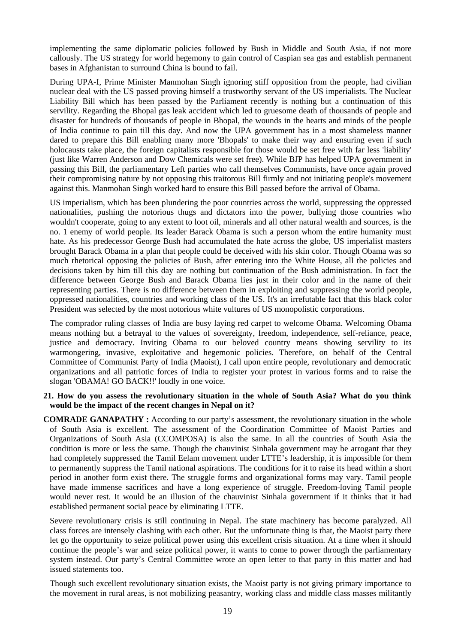implementing the same diplomatic policies followed by Bush in Middle and South Asia, if not more callously. The US strategy for world hegemony to gain control of Caspian sea gas and establish permanent bases in Afghanistan to surround China is bound to fail.

During UPA-I, Prime Minister Manmohan Singh ignoring stiff opposition from the people, had civilian nuclear deal with the US passed proving himself a trustworthy servant of the US imperialists. The Nuclear Liability Bill which has been passed by the Parliament recently is nothing but a continuation of this servility. Regarding the Bhopal gas leak accident which led to gruesome death of thousands of people and disaster for hundreds of thousands of people in Bhopal, the wounds in the hearts and minds of the people of India continue to pain till this day. And now the UPA government has in a most shameless manner dared to prepare this Bill enabling many more 'Bhopals' to make their way and ensuring even if such holocausts take place, the foreign capitalists responsible for those would be set free with far less 'liability' (just like Warren Anderson and Dow Chemicals were set free). While BJP has helped UPA government in passing this Bill, the parliamentary Left parties who call themselves Communists, have once again proved their compromising nature by not opposing this traitorous Bill firmly and not initiating people's movement against this. Manmohan Singh worked hard to ensure this Bill passed before the arrival of Obama.

US imperialism, which has been plundering the poor countries across the world, suppressing the oppressed nationalities, pushing the notorious thugs and dictators into the power, bullying those countries who wouldn't cooperate, going to any extent to loot oil, minerals and all other natural wealth and sources, is the no. 1 enemy of world people. Its leader Barack Obama is such a person whom the entire humanity must hate. As his predecessor George Bush had accumulated the hate across the globe, US imperialist masters brought Barack Obama in a plan that people could be deceived with his skin color. Though Obama was so much rhetorical opposing the policies of Bush, after entering into the White House, all the policies and decisions taken by him till this day are nothing but continuation of the Bush administration. In fact the difference between George Bush and Barack Obama lies just in their color and in the name of their representing parties. There is no difference between them in exploiting and suppressing the world people, oppressed nationalities, countries and working class of the US. It's an irrefutable fact that this black color President was selected by the most notorious white vultures of US monopolistic corporations.

The comprador ruling classes of India are busy laying red carpet to welcome Obama. Welcoming Obama means nothing but a betrayal to the values of sovereignty, freedom, independence, self-reliance, peace, justice and democracy. Inviting Obama to our beloved country means showing servility to its warmongering, invasive, exploitative and hegemonic policies. Therefore, on behalf of the Central Committee of Communist Party of India (Maoist), I call upon entire people, revolutionary and democratic organizations and all patriotic forces of India to register your protest in various forms and to raise the slogan 'OBAMA! GO BACK!!' loudly in one voice.

#### **21. How do you assess the revolutionary situation in the whole of South Asia? What do you think would be the impact of the recent changes in Nepal on it?**

**COMRADE GANAPATHY :** According to our party's assessment, the revolutionary situation in the whole of South Asia is excellent. The assessment of the Coordination Committee of Maoist Parties and Organizations of South Asia (CCOMPOSA) is also the same. In all the countries of South Asia the condition is more or less the same. Though the chauvinist Sinhala government may be arrogant that they had completely suppressed the Tamil Eelam movement under LTTE's leadership, it is impossible for them to permanently suppress the Tamil national aspirations. The conditions for it to raise its head within a short period in another form exist there. The struggle forms and organizational forms may vary. Tamil people have made immense sacrifices and have a long experience of struggle. Freedom-loving Tamil people would never rest. It would be an illusion of the chauvinist Sinhala government if it thinks that it had established permanent social peace by eliminating LTTE.

Severe revolutionary crisis is still continuing in Nepal. The state machinery has become paralyzed. All class forces are intensely clashing with each other. But the unfortunate thing is that, the Maoist party there let go the opportunity to seize political power using this excellent crisis situation. At a time when it should continue the people's war and seize political power, it wants to come to power through the parliamentary system instead. Our party's Central Committee wrote an open letter to that party in this matter and had issued statements too.

Though such excellent revolutionary situation exists, the Maoist party is not giving primary importance to the movement in rural areas, is not mobilizing peasantry, working class and middle class masses militantly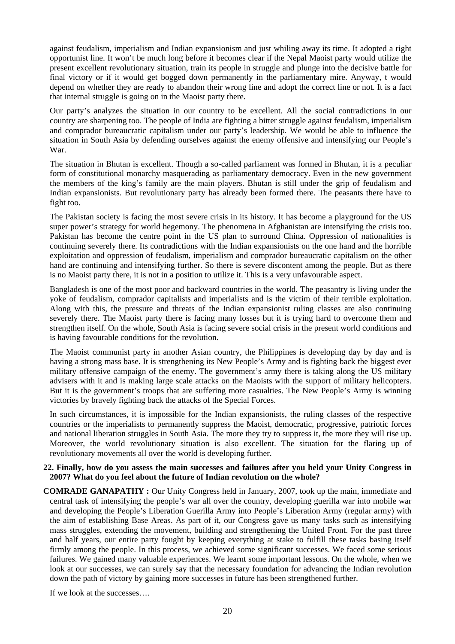against feudalism, imperialism and Indian expansionism and just whiling away its time. It adopted a right opportunist line. It won't be much long before it becomes clear if the Nepal Maoist party would utilize the present excellent revolutionary situation, train its people in struggle and plunge into the decisive battle for final victory or if it would get bogged down permanently in the parliamentary mire. Anyway, t would depend on whether they are ready to abandon their wrong line and adopt the correct line or not. It is a fact that internal struggle is going on in the Maoist party there.

Our party's analyzes the situation in our country to be excellent. All the social contradictions in our country are sharpening too. The people of India are fighting a bitter struggle against feudalism, imperialism and comprador bureaucratic capitalism under our party's leadership. We would be able to influence the situation in South Asia by defending ourselves against the enemy offensive and intensifying our People's War.

The situation in Bhutan is excellent. Though a so-called parliament was formed in Bhutan, it is a peculiar form of constitutional monarchy masquerading as parliamentary democracy. Even in the new government the members of the king's family are the main players. Bhutan is still under the grip of feudalism and Indian expansionists. But revolutionary party has already been formed there. The peasants there have to fight too.

The Pakistan society is facing the most severe crisis in its history. It has become a playground for the US super power's strategy for world hegemony. The phenomena in Afghanistan are intensifying the crisis too. Pakistan has become the centre point in the US plan to surround China. Oppression of nationalities is continuing severely there. Its contradictions with the Indian expansionists on the one hand and the horrible exploitation and oppression of feudalism, imperialism and comprador bureaucratic capitalism on the other hand are continuing and intensifying further. So there is severe discontent among the people. But as there is no Maoist party there, it is not in a position to utilize it. This is a very unfavourable aspect.

Bangladesh is one of the most poor and backward countries in the world. The peasantry is living under the yoke of feudalism, comprador capitalists and imperialists and is the victim of their terrible exploitation. Along with this, the pressure and threats of the Indian expansionist ruling classes are also continuing severely there. The Maoist party there is facing many losses but it is trying hard to overcome them and strengthen itself. On the whole, South Asia is facing severe social crisis in the present world conditions and is having favourable conditions for the revolution.

The Maoist communist party in another Asian country, the Philippines is developing day by day and is having a strong mass base. It is strengthening its New People's Army and is fighting back the biggest ever military offensive campaign of the enemy. The government's army there is taking along the US military advisers with it and is making large scale attacks on the Maoists with the support of military helicopters. But it is the government's troops that are suffering more casualties. The New People's Army is winning victories by bravely fighting back the attacks of the Special Forces.

In such circumstances, it is impossible for the Indian expansionists, the ruling classes of the respective countries or the imperialists to permanently suppress the Maoist, democratic, progressive, patriotic forces and national liberation struggles in South Asia. The more they try to suppress it, the more they will rise up. Moreover, the world revolutionary situation is also excellent. The situation for the flaring up of revolutionary movements all over the world is developing further.

# **22. Finally, how do you assess the main successes and failures after you held your Unity Congress in 2007? What do you feel about the future of Indian revolution on the whole?**

**COMRADE GANAPATHY :** Our Unity Congress held in January, 2007, took up the main, immediate and central task of intensifying the people's war all over the country, developing guerilla war into mobile war and developing the People's Liberation Guerilla Army into People's Liberation Army (regular army) with the aim of establishing Base Areas. As part of it, our Congress gave us many tasks such as intensifying mass struggles, extending the movement, building and strengthening the United Front. For the past three and half years, our entire party fought by keeping everything at stake to fulfill these tasks basing itself firmly among the people. In this process, we achieved some significant successes. We faced some serious failures. We gained many valuable experiences. We learnt some important lessons. On the whole, when we look at our successes, we can surely say that the necessary foundation for advancing the Indian revolution down the path of victory by gaining more successes in future has been strengthened further.

If we look at the successes….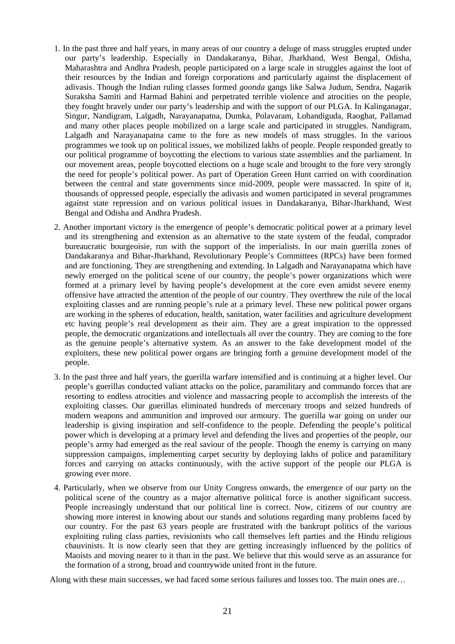- 1. In the past three and half years, in many areas of our country a deluge of mass struggles erupted under our party's leadership. Especially in Dandakaranya, Bihar, Jharkhand, West Bengal, Odisha, Maharashtra and Andhra Pradesh, people participated on a large scale in struggles against the loot of their resources by the Indian and foreign corporations and particularly against the displacement of adivasis. Though the Indian ruling classes formed *goonda* gangs like Salwa Judum, Sendra, Nagarik Suraksha Samiti and Harmad Bahini and perpetrated terrible violence and atrocities on the people, they fought bravely under our party's leadership and with the support of our PLGA. In Kalinganagar, Singur, Nandigram, Lalgadh, Narayanapatna, Dumka, Polavaram, Lohandiguda, Raoghat, Pallamad and many other places people mobilized on a large scale and participated in struggles. Nandigram, Lalgadh and Narayanapatna came to the fore as new models of mass struggles. In the various programmes we took up on political issues, we mobilized lakhs of people. People responded greatly to our political programme of boycotting the elections to various state assemblies and the parliament. In our movement areas, people boycotted elections on a huge scale and brought to the fore very strongly the need for people's political power. As part of Operation Green Hunt carried on with coordination between the central and state governments since mid-2009, people were massacred. In spite of it, thousands of oppressed people, especially the adivasis and women participated in several programmes against state repression and on various political issues in Dandakaranya, Bihar-Jharkhand, West Bengal and Odisha and Andhra Pradesh.
- 2. Another important victory is the emergence of people's democratic political power at a primary level and its strengthening and extension as an alternative to the state system of the feudal, comprador bureaucratic bourgeoisie, run with the support of the imperialists. In our main guerilla zones of Dandakaranya and Bihar-Jharkhand, Revolutionary People's Committees (RPCs) have been formed and are functioning. They are strengthening and extending. In Lalgadh and Narayanapatna which have newly emerged on the political scene of our country, the people's power organizations which were formed at a primary level by having people's development at the core even amidst severe enemy offensive have attracted the attention of the people of our country. They overthrew the rule of the local exploiting classes and are running people's rule at a primary level. These new political power organs are working in the spheres of education, health, sanitation, water facilities and agriculture development etc having people's real development as their aim. They are a great inspiration to the oppressed people, the democratic organizations and intellectuals all over the country. They are coming to the fore as the genuine people's alternative system. As an answer to the fake development model of the exploiters, these new political power organs are bringing forth a genuine development model of the people.
- 3. In the past three and half years, the guerilla warfare intensified and is continuing at a higher level. Our people's guerillas conducted valiant attacks on the police, paramilitary and commando forces that are resorting to endless atrocities and violence and massacring people to accomplish the interests of the exploiting classes. Our guerillas eliminated hundreds of mercenary troops and seized hundreds of modern weapons and ammunition and improved our armoury. The guerilla war going on under our leadership is giving inspiration and self-confidence to the people. Defending the people's political power which is developing at a primary level and defending the lives and properties of the people, our people's army had emerged as the real saviour of the people. Though the enemy is carrying on many suppression campaigns, implementing carpet security by deploying lakhs of police and paramilitary forces and carrying on attacks continuously, with the active support of the people our PLGA is growing ever more.
- 4. Particularly, when we observe from our Unity Congress onwards, the emergence of our party on the political scene of the country as a major alternative political force is another significant success. People increasingly understand that our political line is correct. Now, citizens of our country are showing more interest in knowing about our stands and solutions regarding many problems faced by our country. For the past 63 years people are frustrated with the bankrupt politics of the various exploiting ruling class parties, revisionists who call themselves left parties and the Hindu religious chauvinists. It is now clearly seen that they are getting increasingly influenced by the politics of Maoists and moving nearer to it than in the past. We believe that this would serve as an assurance for the formation of a strong, broad and countrywide united front in the future.

Along with these main successes, we had faced some serious failures and losses too. The main ones are…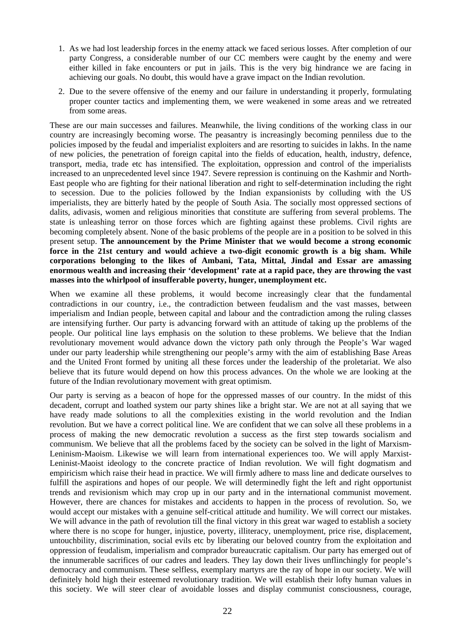- 1. As we had lost leadership forces in the enemy attack we faced serious losses. After completion of our party Congress, a considerable number of our CC members were caught by the enemy and were either killed in fake encounters or put in jails. This is the very big hindrance we are facing in achieving our goals. No doubt, this would have a grave impact on the Indian revolution.
- 2. Due to the severe offensive of the enemy and our failure in understanding it properly, formulating proper counter tactics and implementing them, we were weakened in some areas and we retreated from some areas.

These are our main successes and failures. Meanwhile, the living conditions of the working class in our country are increasingly becoming worse. The peasantry is increasingly becoming penniless due to the policies imposed by the feudal and imperialist exploiters and are resorting to suicides in lakhs. In the name of new policies, the penetration of foreign capital into the fields of education, health, industry, defence, transport, media, trade etc has intensified. The exploitation, oppression and control of the imperialists increased to an unprecedented level since 1947. Severe repression is continuing on the Kashmir and North-East people who are fighting for their national liberation and right to self-determination including the right to secession. Due to the policies followed by the Indian expansionists by colluding with the US imperialists, they are bitterly hated by the people of South Asia. The socially most oppressed sections of dalits, adivasis, women and religious minorities that constitute are suffering from several problems. The state is unleashing terror on those forces which are fighting against these problems. Civil rights are becoming completely absent. None of the basic problems of the people are in a position to be solved in this present setup. **The announcement by the Prime Minister that we would become a strong economic force in the 21st century and would achieve a two-digit economic growth is a big sham. While corporations belonging to the likes of Ambani, Tata, Mittal, Jindal and Essar are amassing enormous wealth and increasing their 'development' rate at a rapid pace, they are throwing the vast masses into the whirlpool of insufferable poverty, hunger, unemployment etc.**

When we examine all these problems, it would become increasingly clear that the fundamental contradictions in our country, i.e., the contradiction between feudalism and the vast masses, between imperialism and Indian people, between capital and labour and the contradiction among the ruling classes are intensifying further. Our party is advancing forward with an attitude of taking up the problems of the people. Our political line lays emphasis on the solution to these problems. We believe that the Indian revolutionary movement would advance down the victory path only through the People's War waged under our party leadership while strengthening our people's army with the aim of establishing Base Areas and the United Front formed by uniting all these forces under the leadership of the proletariat. We also believe that its future would depend on how this process advances. On the whole we are looking at the future of the Indian revolutionary movement with great optimism.

Our party is serving as a beacon of hope for the oppressed masses of our country. In the midst of this decadent, corrupt and loathed system our party shines like a bright star. We are not at all saying that we have ready made solutions to all the complexities existing in the world revolution and the Indian revolution. But we have a correct political line. We are confident that we can solve all these problems in a process of making the new democratic revolution a success as the first step towards socialism and communism. We believe that all the problems faced by the society can be solved in the light of Marxism-Leninism-Maoism. Likewise we will learn from international experiences too. We will apply Marxist-Leninist-Maoist ideology to the concrete practice of Indian revolution. We will fight dogmatism and empiricism which raise their head in practice. We will firmly adhere to mass line and dedicate ourselves to fulfill the aspirations and hopes of our people. We will determinedly fight the left and right opportunist trends and revisionism which may crop up in our party and in the international communist movement. However, there are chances for mistakes and accidents to happen in the process of revolution. So, we would accept our mistakes with a genuine self-critical attitude and humility. We will correct our mistakes. We will advance in the path of revolution till the final victory in this great war waged to establish a society where there is no scope for hunger, injustice, poverty, illiteracy, unemployment, price rise, displacement, untouchbility, discrimination, social evils etc by liberating our beloved country from the exploitation and oppression of feudalism, imperialism and comprador bureaucratic capitalism. Our party has emerged out of the innumerable sacrifices of our cadres and leaders. They lay down their lives unflinchingly for people's democracy and communism. These selfless, exemplary martyrs are the ray of hope in our society. We will definitely hold high their esteemed revolutionary tradition. We will establish their lofty human values in this society. We will steer clear of avoidable losses and display communist consciousness, courage,